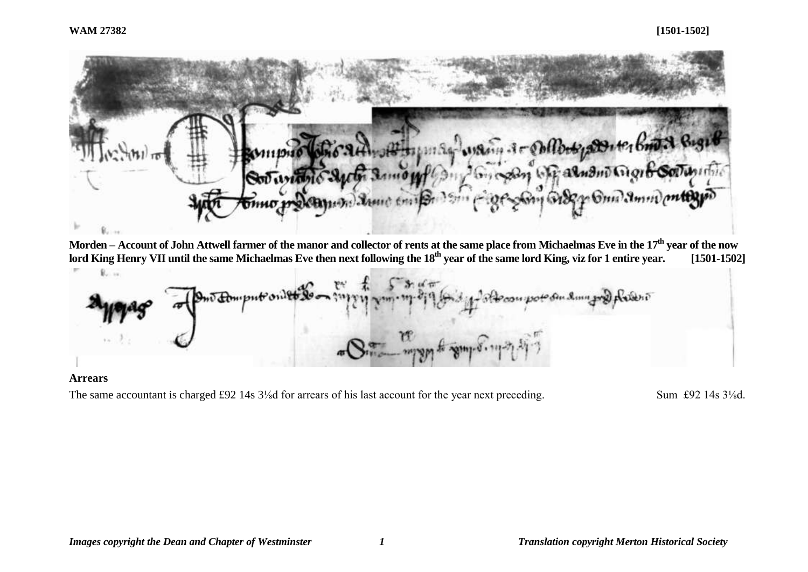

**Morden – Account of John Attwell farmer of the manor and collector of rents at the same place from Michaelmas Eve in the 17th year of the now lord King Henry VII until the same Michaelmas Eve then next following the 18th year of the same lord King, viz for 1 entire year. [1501-1502]** R. ..

Ariesi mo American

# **Arrears**

The same accountant is charged £92 14s 3<sup>1</sup>/<sub>8</sub>d for arrears of his last account for the year next preceding. Sum £92 14s 3<sup>1</sup>/<sub>8</sub>d.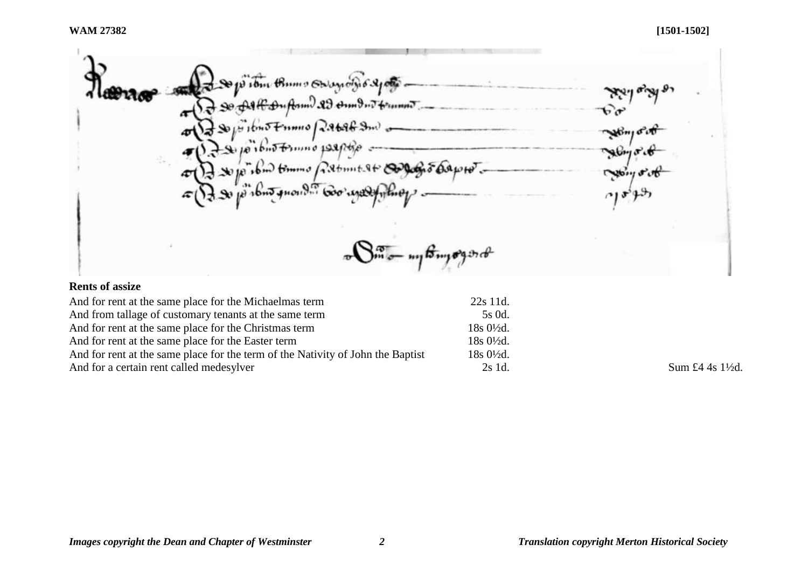So joi tom thum of Augustin 6 21000  $90.04R$  and  $0.03$  and  $0.7$  framed ᠊ᠷ᠋ᢦ  $H$  10no Framo Rabab Sm) فأناثم إستمليت 10 ibino tornino 1991/the I so jo ibm tommo patimit at composition por æ  $16nJ$  gnown  $600$   $mQ$  $\sqrt{S_{m}^{\alpha}-\frac{1}{2}}$ 

# **Rents of assize**

| And for rent at the same place for the Michaelmas term                          | 22s 11d.               |                  |
|---------------------------------------------------------------------------------|------------------------|------------------|
| And from tallage of customary tenants at the same term                          | 5s 0d.                 |                  |
| And for rent at the same place for the Christmas term                           | 18s 0½d.               |                  |
| And for rent at the same place for the Easter term                              | 18s 0½d.               |                  |
| And for rent at the same place for the term of the Nativity of John the Baptist | $18s\ 0\frac{1}{2}d$ . |                  |
| And for a certain rent called medesylver                                        | 2s 1d.                 | Sum £4 4s 1\{2d. |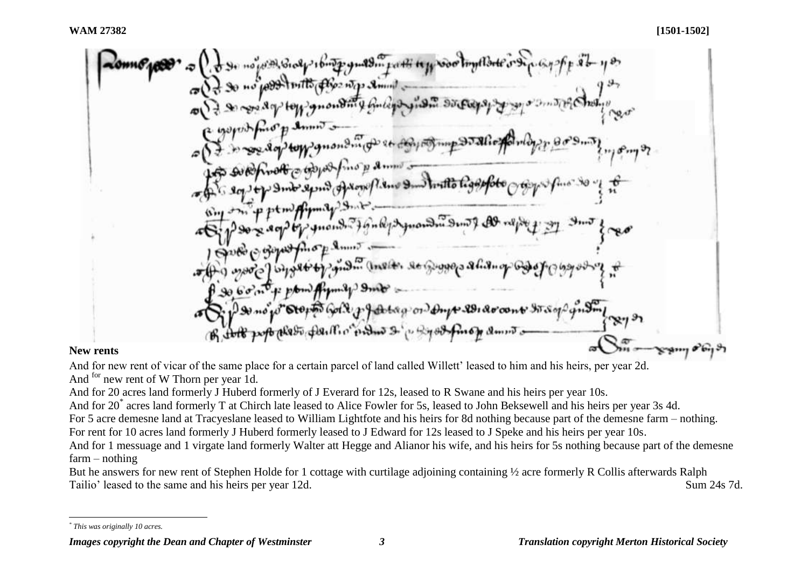# **New rents**

And for new rent of vicar of the same place for a certain parcel of land called Willett' leased to him and his heirs, per year 2d. And <sup>for</sup> new rent of W Thorn per year 1d.

And for 20 acres land formerly J Huberd formerly of J Everard for 12s, leased to R Swane and his heirs per year 10s.

And for 20\* acres land formerly T at Chirch late leased to Alice Fowler for 5s, leased to John Beksewell and his heirs per year 3s 4d.

For 5 acre demesne land at Tracyeslane leased to William Lightfote and his heirs for 8d nothing because part of the demesne farm – nothing.

For rent for 10 acres land formerly J Huberd formerly leased to J Edward for 12s leased to J Speke and his heirs per year 10s.

And for 1 messuage and 1 virgate land formerly Walter att Hegge and Alianor his wife, and his heirs for 5s nothing because part of the demesne farm – nothing

But he answers for new rent of Stephen Holde for 1 cottage with curtilage adjoining containing ½ acre formerly R Collis afterwards Ralph Tailio' leased to the same and his heirs per year 12d. Sum 24s 7d.

l *\* This was originally 10 acres.*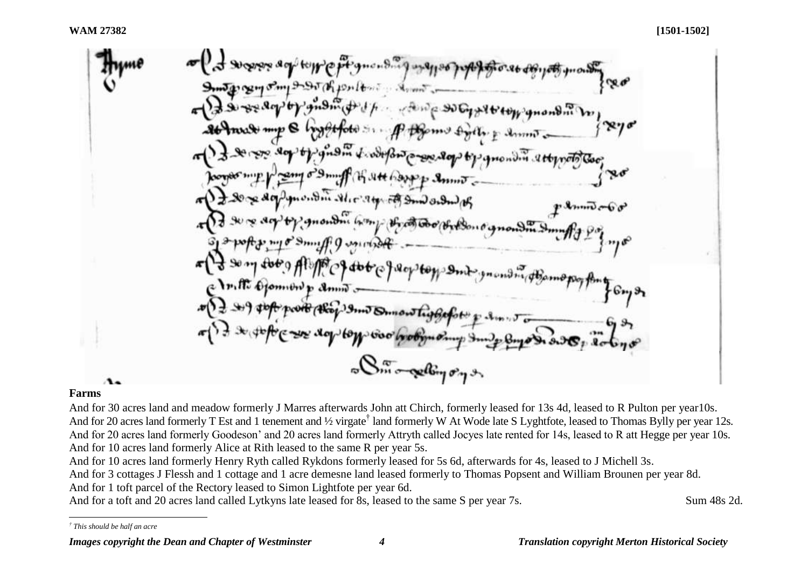## **Farms**

And for 30 acres land and meadow formerly J Marres afterwards John att Chirch, formerly leased for 13s 4d, leased to R Pulton per year10s. And for 20 acres land formerly T Est and 1 tenement and 1/2 virgate<sup>†</sup> land formerly W At Wode late S Lyghtfote, leased to Thomas Bylly per year 12s. And for 20 acres land formerly Goodeson' and 20 acres land formerly Attryth called Jocyes late rented for 14s, leased to R att Hegge per year 10s. And for 10 acres land formerly Alice at Rith leased to the same R per year 5s.

And for 10 acres land formerly Henry Ryth called Rykdons formerly leased for 5s 6d, afterwards for 4s, leased to J Michell 3s.

And for 3 cottages J Flessh and 1 cottage and 1 acre demesne land leased formerly to Thomas Popsent and William Brounen per year 8d. And for 1 toft parcel of the Rectory leased to Simon Lightfote per year 6d.

And for a toft and 20 acres land called Lytkyns late leased for 8s, leased to the same S per year 7s. Sum 48s 2d.

l *† This should be half an acre*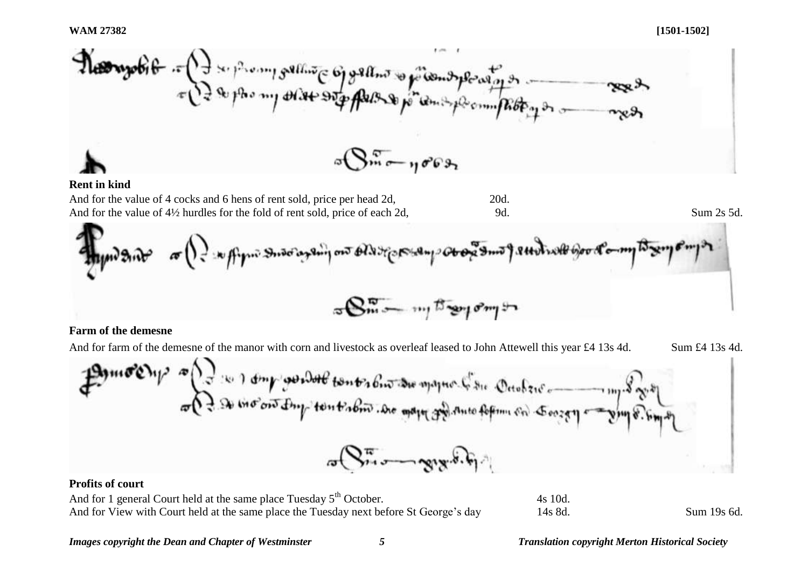

#### **Rent in kind**

And for the value of 4 cocks and 6 hens of rent sold, price per head 2d, 20d. And for the value of  $4\frac{1}{2}$  hurdles for the fold of rent sold, price of each 2d, 9d. Sum 2s 5d.



### **Farm of the demesne**

And for farm of the demesne of the manor with corn and livestock as overleaf leased to John Attewell this year £4 13s 4d. Sum £4 13s 4d.

## **Profits of court**

And for 1 general Court held at the same place Tuesday  $5<sup>th</sup>$  October. 4s 10d. And for View with Court held at the same place the Tuesday next before St George's day 14s 8d. Sum 19s 6d.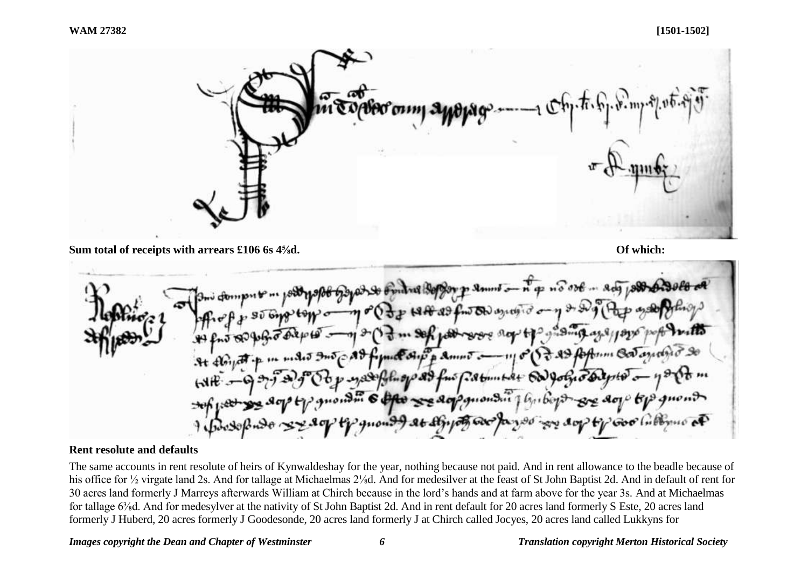

**Sum total of receipts with arrears £106 6s 4<sup>5</sup>/<sub>8</sub>d. <b>Of which: Of which: Of which: Of which: Of which: Of which: Of which: Of which: Of which: Of which: Of which: Of which: Of which: Of which:** 



## **Rent resolute and defaults**

The same accounts in rent resolute of heirs of Kynwaldeshay for the year, nothing because not paid. And in rent allowance to the beadle because of his office for ½ virgate land 2s. And for tallage at Michaelmas 2¼d. And for medesilver at the feast of St John Baptist 2d. And in default of rent for 30 acres land formerly J Marreys afterwards William at Chirch because in the lord's hands and at farm above for the year 3s. And at Michaelmas for tallage 6<sup>3</sup>/<sub>8</sub>d. And for medesylver at the nativity of St John Baptist 2d. And in rent default for 20 acres land formerly S Este, 20 acres land formerly J Huberd, 20 acres formerly J Goodesonde, 20 acres land formerly J at Chirch called Jocyes, 20 acres land called Lukkyns for

#### *Images copyright the Dean and Chapter of Westminster 6 Translation copyright Merton Historical Society*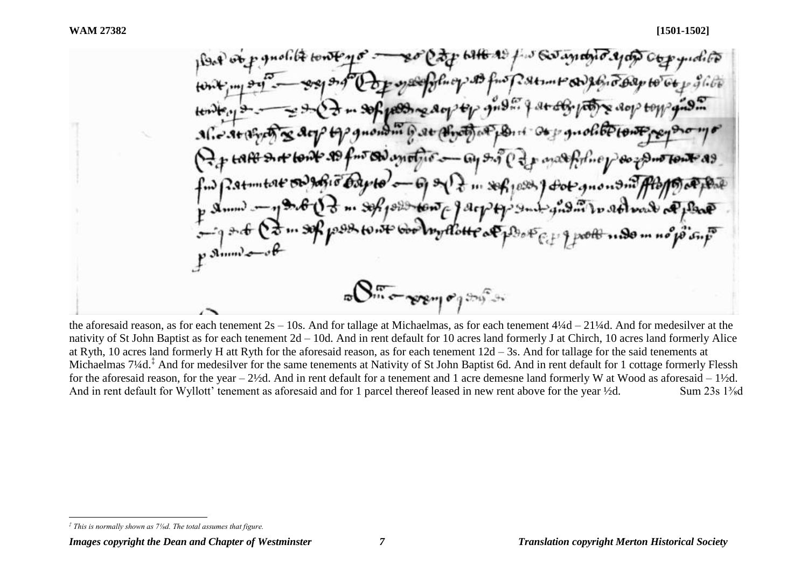J Go anano  $H<sub>1</sub> \approx 1.313$  fm f*iskunt* Sh  $... 4.8 + 66.$  $-96.483 - 802 + 7$ most another - ay so Cap martholine  $\theta$ str $\theta'$ o  $-69$  s  $\sqrt{2}$  in section of the subsequent of the point tom parply sub guida to ret was a plane Poor my Hotte of Book  $\sqrt{S_{\rm max}}$   $\sim$   $\gamma$   $\gamma$   $\sim$   $\gamma$ 

the aforesaid reason, as for each tenement  $2s - 10s$ . And for tallage at Michaelmas, as for each tenement  $4\frac{1}{4}d - 21\frac{1}{4}d$ . And for medesilver at the nativity of St John Baptist as for each tenement 2d – 10d. And in rent default for 10 acres land formerly J at Chirch, 10 acres land formerly Alice at Ryth, 10 acres land formerly H att Ryth for the aforesaid reason, as for each tenement 12d – 3s. And for tallage for the said tenements at Michaelmas 7¼d.<sup>‡</sup> And for medesilver for the same tenements at Nativity of St John Baptist 6d. And in rent default for 1 cottage formerly Flessh for the aforesaid reason, for the year – 2½d. And in rent default for a tenement and 1 acre demesne land formerly W at Wood as aforesaid – 1½d. And in rent default for Wyllott' tenement as aforesaid and for 1 parcel thereof leased in new rent above for the year ½d. Sum 23s 1<sup>3</sup>/<sub>8</sub>d

l *‡ This is normally shown as 7⅛d. The total assumes that figure.*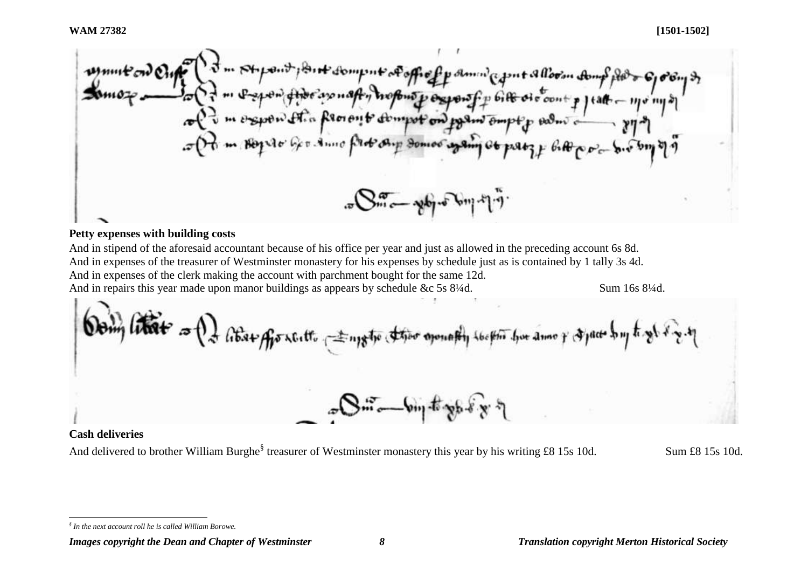Stypent point domp nt of office of amin' agent allow the food of or Group a me por fino ano naft, tropono y exporat p 618 oro cont p jeat - 11/0 11/8 col d'un express et la processité d'empot ond premi empt p endus a flux est of the me stop to the Anno prototy Someo spain to pat if the port of or pop of  $\mathbb{R}^{n}$  por police with  $\mathbb{R}^{n}$ .

# **Petty expenses with building costs**

And in stipend of the aforesaid accountant because of his office per year and just as allowed in the preceding account 6s 8d. And in expenses of the treasurer of Westminster monastery for his expenses by schedule just as is contained by 1 tally 3s 4d. And in expenses of the clerk making the account with parchment bought for the same 12d. And in repairs this year made upon manor buildings as appears by schedule &c 5s 8¼d. Sum 16s 8¼d.

by liter a (2) about of the result of the subject of the company to the town and y of pact by to get it and  $3m - 6m$  to go of

# **Cash deliveries**

l

And delivered to brother William Burghe<sup>§</sup> treasurer of Westminster monastery this year by his writing £8 15s 10d. Sum £8 15s 10d.

*<sup>§</sup> In the next account roll he is called William Borowe.*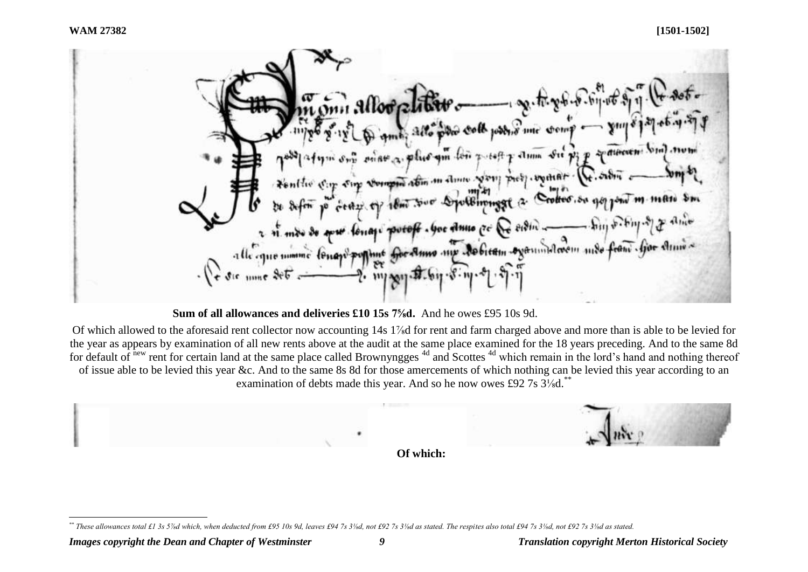$-8.60.06.$ wanne comp Talum Su Pip & dinerent bin mon  $a$ lus am lon  $x$  toff Fonthe City Sing Vergon abin in done you pick would polliminggt a. Crotter. So go jour m. man Sm forage potoff . Goe Anno ce & orom \_\_ high shing of me for Anno my Jobien oganindroem mde fran Gor Anne ure numme (Pugs)  $\cdot$  111/ 2011 - 27

**Sum of all allowances and deliveries £10 15s 7⅝d.** And he owes £95 10s 9d.

Of which allowed to the aforesaid rent collector now accounting 14s 1⅞d for rent and farm charged above and more than is able to be levied for the year as appears by examination of all new rents above at the audit at the same place examined for the 18 years preceding. And to the same 8d for default of new rent for certain land at the same place called Brownyngges <sup>4d</sup> and Scottes <sup>4d</sup> which remain in the lord's hand and nothing thereof of issue able to be levied this year &c. And to the same 8s 8d for those amercements of which nothing can be levied this year according to an examination of debts made this year. And so he now owes £92 7s 3<sup>1</sup>/<sub>s</sub>d.<sup>\*</sup>



l *\*\* These allowances total £1 3s 5⅞d which, when deducted from £95 10s 9d, leaves £94 7s 3⅛d, not £92 7s 3⅛d as stated. The respites also total £94 7s 3⅛d, not £92 7s 3⅛d as stated.*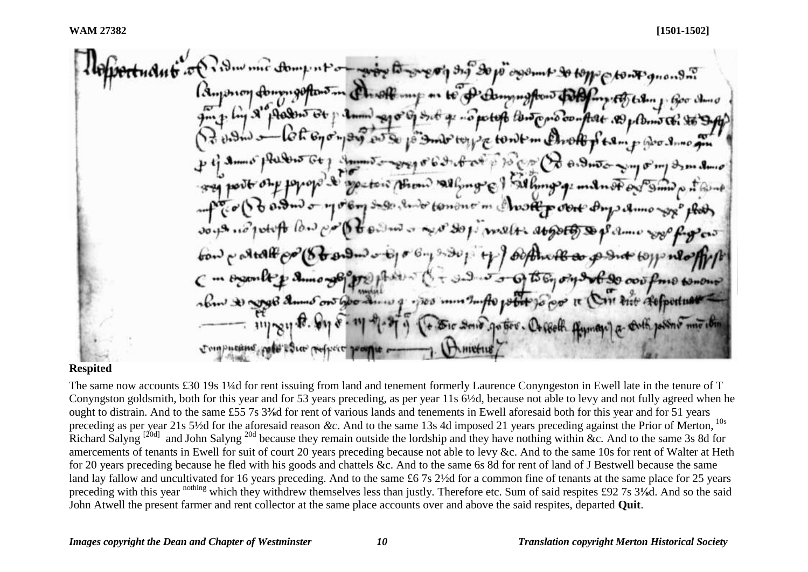## **Respited**

The same now accounts £30 19s 1¼d for rent issuing from land and tenement formerly Laurence Conyngeston in Ewell late in the tenure of T Conyngston goldsmith, both for this year and for 53 years preceding, as per year 11s 6½d, because not able to levy and not fully agreed when he ought to distrain. And to the same £55 7s 3**⅜**d for rent of various lands and tenements in Ewell aforesaid both for this year and for 51 years preceding as per year 21s 5½d for the aforesaid reason *&c*. And to the same 13s 4d imposed 21 years preceding against the Prior of Merton, 10s Richard Salyng<sup>[20d]</sup> and John Salyng<sup>20d</sup> because they remain outside the lordship and they have nothing within &c. And to the same 3s 8d for amercements of tenants in Ewell for suit of court 20 years preceding because not able to levy &c. And to the same 10s for rent of Walter at Heth for 20 years preceding because he fled with his goods and chattels &c. And to the same 6s 8d for rent of land of J Bestwell because the same land lay fallow and uncultivated for 16 years preceding. And to the same £6 7s 2½d for a common fine of tenants at the same place for 25 years preceding with this year nothing which they withdrew themselves less than justly. Therefore etc. Sum of said respites £92 7s 3**⅛**d. And so the said John Atwell the present farmer and rent collector at the same place accounts over and above the said respites, departed **Quit**.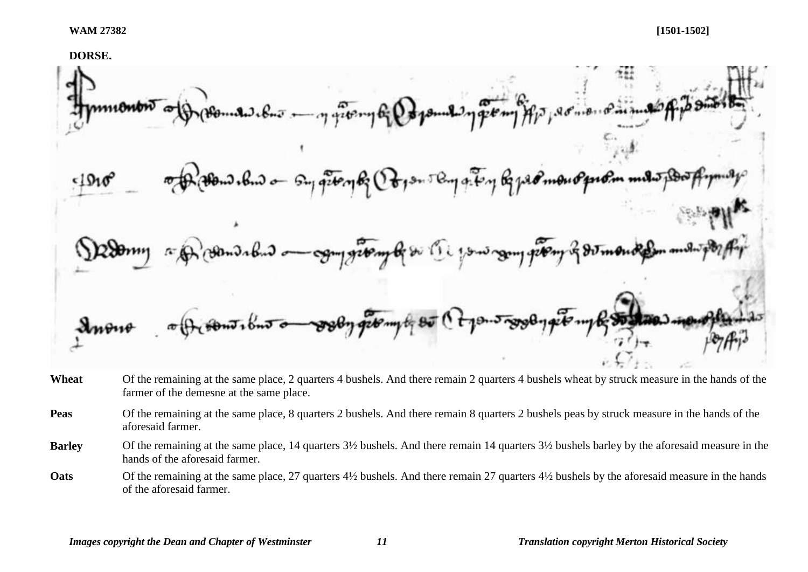

- **Wheat** Of the remaining at the same place, 2 quarters 4 bushels. And there remain 2 quarters 4 bushels wheat by struck measure in the hands of the farmer of the demesne at the same place.
- **Peas** Of the remaining at the same place, 8 quarters 2 bushels. And there remain 8 quarters 2 bushels peas by struck measure in the hands of the aforesaid farmer.
- **Barley** Of the remaining at the same place, 14 quarters  $3\frac{1}{2}$  bushels. And there remain 14 quarters  $3\frac{1}{2}$  bushels barley by the aforesaid measure in the hands of the aforesaid farmer.
- **Oats** Of the remaining at the same place, 27 quarters 4½ bushels. And there remain 27 quarters 4½ bushels by the aforesaid measure in the hands of the aforesaid farmer.